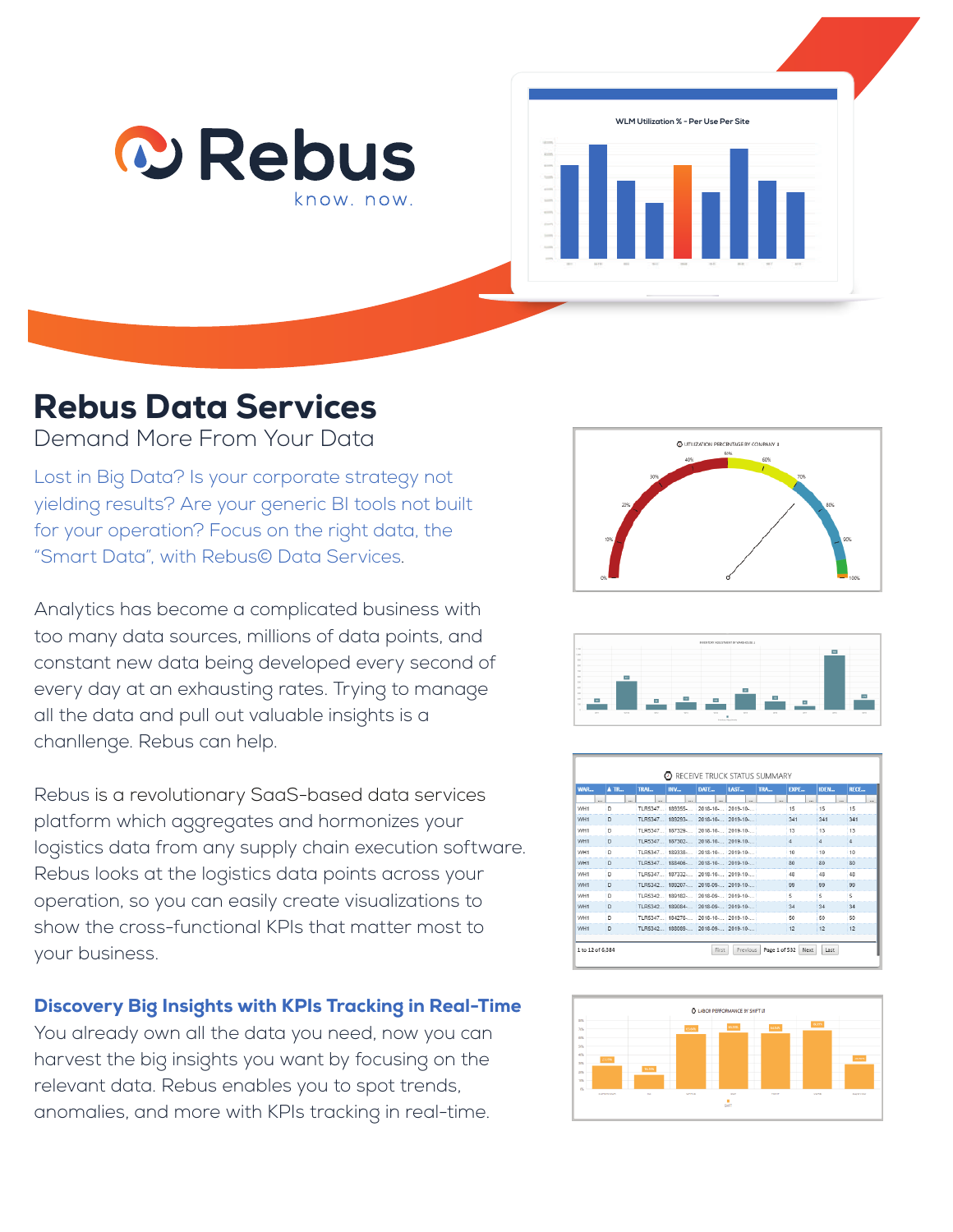



# Rebus Data Services

Demand More From Your Data

Lost in Big Data? Is your corporate strategy not yielding results? Are your generic BI tools not built for your operation? Focus on the right data, the "Smart Data", with Rebus© Data Services.

Analytics has become a complicated business with too many data sources, millions of data points, and constant new data being developed every second of every day at an exhausting rates. Trying to manage all the data and pull out valuable insights is a chanllenge. Rebus can help.

Rebus is a revolutionary SaaS-based data services platform which aggregates and hormonizes your logistics data from any supply chain execution software. Rebus looks at the logistics data points across your operation, so you can easily create visualizations to show the cross-functional KPIs that matter most to your business.

## Discovery Big Insights with KPIs Tracking in Real-Time

You already own all the data you need, now you can harvest the big insights you want by focusing on the relevant data. Rebus enables you to spot trends, anomalies, and more with KPIs tracking in real-time.





| WAR             | ATR    | TRAI     | INV     | DATE             | <b>IAST</b>   | TRA.   | <b>FXPE</b> | <b>IDFN</b> | RFCF   |
|-----------------|--------|----------|---------|------------------|---------------|--------|-------------|-------------|--------|
| $\sim$          | $\sim$ | $\sim$   | $\sim$  | $\sim$           | $\sim$        | $\sim$ | $\sim$      | $\sim$      | $\sim$ |
| WH1             | D      | TI R5347 | 189355- | $2018 - 10$      | $2019 - 10$   |        | 15          | 15          | 15     |
| WH <sub>1</sub> | n.     | TI R5347 | 189293. | 2018-10-         | 2019-10-      |        | 341         | 341         | 341    |
| WH1             | D      | TI R5347 | 187329. | 2018-10-         | 2019-10-      |        | 13          | 13          | 13     |
| WH1             | D      | TLR5347. | 187302- | $2018 - 10 -$    | $2019 - 10 -$ |        | 4           | $\Delta$    | 4      |
| WH1             | n      | TI R5347 | 189338. | 2018-10-         | 2019-10-      |        | 10          | 10          | 10     |
| WH <sub>1</sub> | D      | TI R5347 | 188406- | $2018 - 10 -$    | $2019 - 10 -$ |        | 80          | 80          | 80     |
| WH1             | D      | TI R5347 | 187332- | $2018 - 10$      | $2019 - 10$   |        | 48          | 48          | 48     |
| WH <sub>1</sub> | n.     | TI R5342 | 189207. | 2018-09-         | 2019-10-      |        | 99          | 99          | 99     |
| WH1             | D      | TI R5342 | 189182. | 2018-09-         | 2019-10-      |        | 5           | 5.          | 5      |
| WH1             | D      | TLR5342  | 189084- | $2018 - 09 -$    | $2019 - 10 -$ |        | 34          | 34          | 34     |
| WH1             | n      | TLR5347  | 184276- | 2018-10-         | 2019-10-      |        | 50          | 50          | 50     |
| WH <sub>1</sub> | D      | TI R5342 | 188089- | 2018-09-2019-10- |               |        | 12          | 12          | 12     |